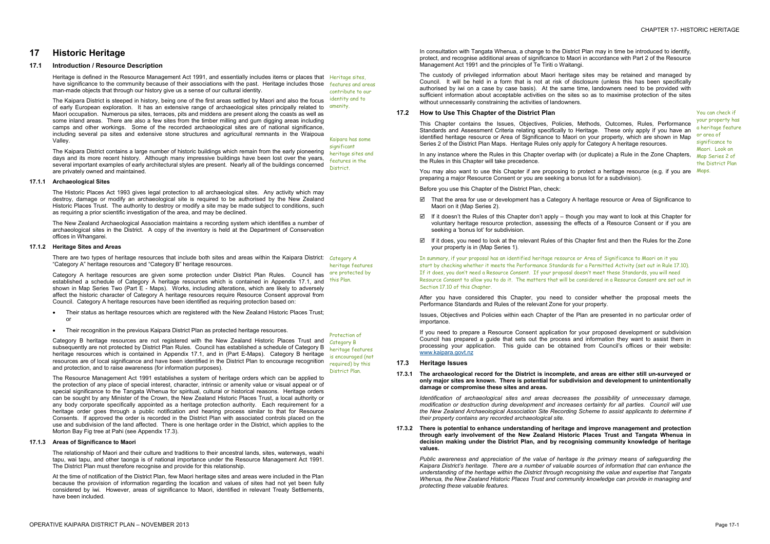# **17 Historic Heritage**

## **17.1 Introduction / Resource Description**

Heritage is defined in the Resource Management Act 1991, and essentially includes items or places that Heritage sites, have significance to the community because of their associations with the past. Heritage includes those features and areas man-made objects that through our history give us a sense of our cultural identity.

The Kaipara District contains a large number of historic buildings which remain from the early pioneering days and its more recent history. Although many impressive buildings have been lost over the years, several important examples of early architectural styles are present. Nearly all of the buildings concerned are privately owned and maintained. **District** 

The Kaipara District is steeped in history, being one of the first areas settled by Maori and also the focus of early European exploration. It has an extensive range of archaeological sites principally related to amenity. Maori occupation. Numerous pa sites, terraces, pits and middens are present along the coasts as well as some inland areas. There are also a few sites from the timber milling and gum digging areas including camps and other workings. Some of the recorded archaeological sites are of national significance, including several pa sites and extensive stone structures and agricultural remnants in the Waipoua Valley.

contribute to our identity and to

Kaipara has some

significant heritage sites and features in the

## **17.1.1 Archaeological Sites**

The Historic Places Act 1993 gives legal protection to all archaeological sites. Any activity which may destroy, damage or modify an archaeological site is required to be authorised by the New Zealand Historic Places Trust. The authority to destroy or modify a site may be made subject to conditions, such as requiring a prior scientific investigation of the area, and may be declined.

The New Zealand Archaeological Association maintains a recording system which identifies a number of archaeological sites in the District. A copy of the inventory is held at the Department of Conservation offices in Whangarei.

## **17.1.2 Heritage Sites and Areas**

There are two types of heritage resources that include both sites and areas within the Kaipara District: Category A "Category A" heritage resources and "Category B" heritage resources. heritage features

The custody of privileged information about Maori heritage sites may be retained and managed by Council. It will be held in a form that is not at risk of disclosure (unless this has been specifically authorised by iwi on a case by case basis). At the same time, landowners need to be provided with sufficient information about acceptable activities on the sites so as to maximise protection of the sites without unnecessarily constraining the activities of landowners.

- · Their status as heritage resources which are registered with the New Zealand Historic Places Trust; or
- · Their recognition in the previous Kaipara District Plan as protected heritage resources.

You may also want to use this Chapter if are proposing to protect a heritage resource (e.g. if you are Maps. preparing a major Resource Consent or you are seeking a bonus lot for a subdivision).

Category A heritage resources are given some protection under District Plan Rules. Council has established a schedule of Category A heritage resources which is contained in Appendix 17.1, and this Plan. shown in Map Series Two (Part E - Maps). Works, including alterations, which are likely to adversely affect the historic character of Category A heritage resources require Resource Consent approval from Council. Category A heritage resources have been identified as requiring protection based on: are protected by

Category B heritage resources are not registered with the New Zealand Historic Places Trust and subsequently are not protected by District Plan Rules. Council has established a schedule of Category B heritage resources which is contained in Appendix 17.1, and in (Part E-Maps). Category B heritage resources are of local significance and have been identified in the District Plan to encourage recognition and protection, and to raise awareness (for information purposes). District Plan.

The Resource Management Act 1991 establishes a system of heritage orders which can be applied to the protection of any place of special interest, character, intrinsic or amenity value or visual appeal or of special significance to the Tangata Whenua for spiritual, cultural or historical reasons. Heritage orders can be sought by any Minister of the Crown, the New Zealand Historic Places Trust, a local authority or any body corporate specifically appointed as a heritage protection authority. Each requirement for a heritage order goes through a public notification and hearing process similar to that for Resource Consents. If approved the order is recorded in the District Plan with associated controls placed on the use and subdivision of the land affected. There is one heritage order in the District, which applies to the Morton Bay Fig tree at Pahi (see Appendix 17.3).

Protection of Category B heritage features is encouraged (not required) by this

## **17.1.3 Areas of Significance to Maori**

The relationship of Maori and their culture and traditions to their ancestral lands, sites, waterways, waahi tapu, wai tapu, and other taonga is of national importance under the Resource Management Act 1991. The District Plan must therefore recognise and provide for this relationship.

At the time of notification of the District Plan, few Maori heritage sites and areas were included in the Plan because the provision of information regarding the location and values of sites had not yet been fully considered by iwi. However, areas of significance to Maori, identified in relevant Treaty Settlements, have been included.

In consultation with Tangata Whenua, a change to the District Plan may in time be introduced to identify, protect, and recognise additional areas of significance to Maori in accordance with Part 2 of the Resource Management Act 1991 and the principles of Te Tiriti o Waitangi.

## **17.2 How to Use This Chapter of the District Plan**

This Chapter contains the Issues, Objectives, Policies, Methods, Outcomes, Rules, Performance Standards and Assessment Criteria relating specifically to Heritage. These only apply if you have an identified heritage resource or Area of Significance to Maori on your property, which are shown in Map Series 2 of the District Plan Maps. Heritage Rules only apply for Category A heritage resources.

In any instance where the Rules in this Chapter overlap with (or duplicate) a Rule in the Zone Chapters, the Rules in this Chapter will take precedence.

Before you use this Chapter of the District Plan, check:

- ˛ That the area for use or development has a Category A heritage resource or Area of Significance to Maori on it (Map Series 2).
- □ If it doesn't the Rules of this Chapter don't apply though you may want to look at this Chapter for voluntary heritage resource protection, assessing the effects of a Resource Consent or if you are seeking a 'bonus lot' for subdivision.
- If it does, you need to look at the relevant Rules of this Chapter first and then the Rules for the Zone your property is in (Map Series 1).

You can check if your property has a heritage feature or area of significance to Maori. Look on Map Series 2 of the District Plan

In summary, if your proposal has an identified heritage resource or Area of Significance to Maori on it you start by checking whether it meets the Performance Standards for a Permitted Activity (set out in Rule 17.10). If it does, you don't need a Resource Consent. If your proposal doesn't meet these Standards, you will need Resource Consent to allow you to do it. The matters that will be considered in a Resource Consent are set out in Section 17.10 of this Chapter.

After you have considered this Chapter, you need to consider whether the proposal meets the Performance Standards and Rules of the relevant Zone for your property.

Issues, Objectives and Policies within each Chapter of the Plan are presented in no particular order of importance.

If you need to prepare a Resource Consent application for your proposed development or subdivision Council has prepared a guide that sets out the process and information they want to assist them in processing your application. This guide can be obtained from Council's offices or their website: [www.kaipara.govt.nz](http://www.kaipara.govt.nz)

## **17.3 Heritage Issues**

**17.3.1 The archaeological record for the District is incomplete, and areas are either still un-surveyed or only major sites are known. There is potential for subdivision and development to unintentionally damage or compromise these sites and areas.** 

*Identification of archaeological sites and areas decreases the possibility of unnecessary damage, modification or destruction during development and increases certainty for all parties. Council will use the New Zealand Archaeological Association Site Recording Scheme to assist applicants to determine if their property contains any recorded archaeological site.*

**17.3.2 There is potential to enhance understanding of heritage and improve management and protection through early involvement of the New Zealand Historic Places Trust and Tangata Whenua in decision making under the District Plan, and by recognising community knowledge of heritage values.** 

*Public awareness and appreciation of the value of heritage is the primary means of safeguarding the Kaipara District's heritage. There are a number of valuable sources of information that can enhance the understanding of the heritage within the District through recognising the value and expertise that Tangata Whenua, the New Zealand Historic Places Trust and community knowledge can provide in managing and protecting these valuable features.*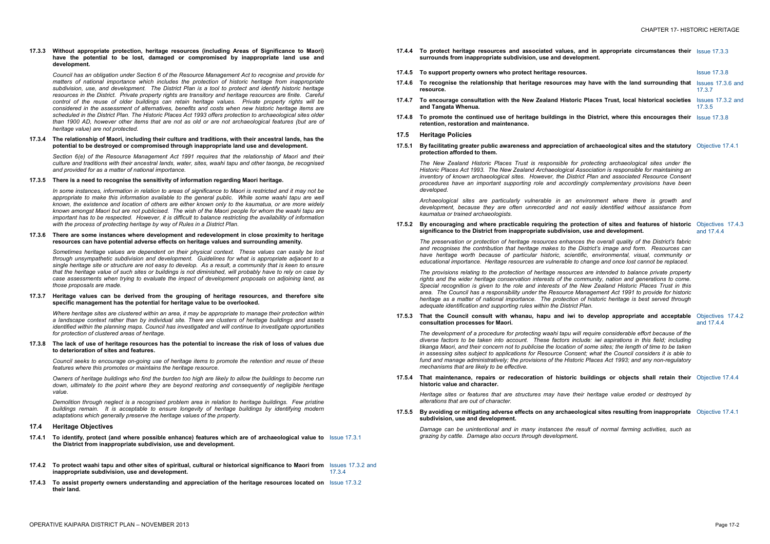## **17.3.3 Without appropriate protection, heritage resources (including Areas of Significance to Maori) have the potential to be lost, damaged or compromised by inappropriate land use and development***.*

*Council has an obligation under Section 6 of the Resource Management Act to recognise and provide for matters of national importance which includes the protection of historic heritage from inappropriate subdivision, use, and development. The District Plan is a tool to protect and identify historic heritage resources in the District. Private property rights are transitory and heritage resources are finite. Careful control of the reuse of older buildings can retain heritage values. Private property rights will be considered in the assessment of alternatives, benefits and costs when new historic heritage items are scheduled in the District Plan. The Historic Places Act 1993 offers protection to archaeological sites older*  than 1900 AD, however other items that are not as old or are not archaeological features (but are of *heritage value) are not protected.*

In some instances, information in relation to areas of significance to Maori is restricted and it may not be *appropriate to make this information available to the general public. While some waahi tapu are well*  known, the existence and location of others are either known only to the kaumatua, or are more widely known amongst Maori but are not publicised. The wish of the Maori people for whom the waahi tapu are *important has to be respected. However, it is difficult to balance restricting the availability of information with the process of protecting heritage by way of Rules in a District Plan.* 

## **17.3.4 The relationship of Maori, including their culture and traditions, with their ancestral lands, has the potential to be destroyed or compromised through inappropriate land use and development***.*

*Section 6(e) of the Resource Management Act 1991 requires that the relationship of Maori and their culture and traditions with their ancestral lands, water, sites, waahi tapu and other taonga, be recognised and provided for as a matter of national importance.* 

## **17.3.5 There is a need to recognise the sensitivity of information regarding Maori heritage.**

## 17.3.8 The lack of use of heritage resources has the potential to increase the risk of loss of values due **to deterioration of sites and features.**

Owners of heritage buildings who find the burden too high are likely to allow the buildings to become run *down, ultimately to the point where they are beyond restoring and consequently of negligible heritage value.* 

## **17.3.6 There are some instances where development and redevelopment in close proximity to heritage resources can have potential adverse effects on heritage values and surrounding amenity.**

*Sometimes heritage values are dependent on their physical context. These values can easily be lost through unsympathetic subdivision and development. Guidelines for what is appropriate adjacent to a*  single heritage site or structure are not easy to develop. As a result, a community that is keen to ensure that the heritage value of such sites or buildings is not diminished, will probably have to rely on case by *case assessments when trying to evaluate the impact of development proposals on adjoining land, as those proposals are made.* 

*The* New Zealand Historic Places Trust is responsible for *Historic Places Act 1993. The New Zealand Archaeological As inventory* of *known* archaeological sites. However, the Distric *procedures have* an *important supporting role and according developed.* 

## **17.3.7 Heritage values can be derived from the grouping of heritage resources, and therefore site specific management has the potential for heritage value to be overlooked.**

*Archaeological sites are particularly vulnerable in an en development, because they are often unrecorded and not easily identified without assistance from kaumatua or trained archaeologists.* 

**17.5.2 By encouraging and where practicable requiring the protection of sites and features of historic significance to the District from inappropriate subdivision,** 

*Where heritage sites are clustered within an area, it may be appropriate to manage their protection within a landscape context rather than by individual site. There are clusters of heritage buildings and assets identified within the planning maps. Council has investigated and will continue to investigate opportunities for protection of clustered areas of heritage.* 

*The preservation or protection of heritage resources enhances and recognises the contribution that heritage makes to the District's image and form. Resources can have heritage worth because* of *particular historic, scientif educational importance. Heritage resources are vulnerable to change and once lost cannot be replaced.* 

*Council seeks to encourage on-going use of heritage items to promote the retention and reuse of these features where this promotes or maintains the heritage resource.* 

*The development* of a *procedure for protecting waahi tapu will diverse factors to be taken into account. These factors include:**include:**<i>include: including account.* **These factors** *including**include: including account.* **These factors** *including account***.** tikanga Maori, and their concern not to publicise the location of in assessing sites subject to applications for Resource Conser *fund* and manage administratively; the provisions of the Historic *mechanisms that are likely to be effective.* 

*Demolition through neglect is a recognised problem area in relation to heritage buildings. Few pristine buildings remain. It is acceptable to ensure longevity of heritage buildings by identifying modern adaptations which generally preserve the heritage values of the property.* 

*Heritage sites or features that are structures may have their alterations that are out of character.* 

## **17.4 Heritage Objectives**

- **17.4.1 To identify, protect (and where possible enhance) features which are of archaeological value to**  Issue 17.3.1 **the District from inappropriate subdivision***,* **use and development.**
- 17.4.2 To protect waahi tapu and other sites of spiritual, cultural or historical significance to Maori from Issues 17.3.2 and **inappropriate subdivision, use and development***.* 17.3.4
- **17.4.3 To assist property owners understanding and appreciation of the heritage resources located on**  Issue 17.3.2 **their land.**
- **17.4.4 To protect heritage resources and associated values, and in appropriate circumstances their surrounds from inappropriate subdivision, use and develop**
- **17.4.5** To support property owners who protect heritage resource
- **17.4.6 To recognise the relationship that heritage resources may have with the land surrounding that resource.**
- **17.4.7 To encourage consultation with the New Zealand Historic Places Trust, local historical societies and Tangata Whenua***.*
- **17.4.8 To promote the continued use of heritage buildings in the District, where this encourages their retention, restoration and maintenance***.*
- **17.5 Heritage Policies**
- **17.5.1 By facilitating greater public awareness and appreciation of archaeological sites and the statutory protection afforded to them.**

| nd in appropriate circumstances their Issue 17.3.3<br>pment.                                                                                                                                                                                     |                                 |
|--------------------------------------------------------------------------------------------------------------------------------------------------------------------------------------------------------------------------------------------------|---------------------------------|
| ۱S.                                                                                                                                                                                                                                              | <b>Issue 17.3.8</b>             |
| ay have with the land surrounding that                                                                                                                                                                                                           | Issues 17.3.6 and<br>17.3.7     |
| Places Trust, local historical societies                                                                                                                                                                                                         | Issues 17.3.2 and<br>17.3.5     |
| e District, where this encourages their Issue 17.3.8                                                                                                                                                                                             |                                 |
| of archaeological sites and the statutory Objective 17.4.1                                                                                                                                                                                       |                                 |
| protecting archaeological sites under the<br>ssociation is responsible for maintaining an<br>ct Plan and associated Resource Consent<br>gly complementary provisions have been                                                                   |                                 |
| ivironment where there is growth and<br>easily identified without assistance from                                                                                                                                                                |                                 |
| ection of sites and features of historic<br>use and development.                                                                                                                                                                                 | Objectives 17.4.3<br>and 17.4.4 |
| s the overall quality of the District's fabric<br>District's image and form. Resources can<br>fic, environmental, visual, community or<br>change and once lost cannot be replaced.                                                               |                                 |
| s are intended to balance private property<br>mmunity, nation and generations to come.<br><b>New Zealand Historic Places Trust in this</b><br>anagement Act 1991 to provide for historic<br>of historic heritage is best served through<br>Plan. |                                 |
| o develop appropriate and acceptable                                                                                                                                                                                                             | Objectives 17.4.2<br>and 17.4.4 |
| require considerable effort because of the<br>ude: iwi aspirations in this field; including<br>f some sites; the length of time to be taken<br>nt; what the Council considers it is able to<br>c Places Act 1993; and any non-regulatory         |                                 |
| buildings or objects shall retain their Objective 17.4.4                                                                                                                                                                                         |                                 |
| ir heritage value eroded or destroyed by                                                                                                                                                                                                         |                                 |
| ogical sites resulting from inappropriate Objective 17.4.1                                                                                                                                                                                       |                                 |
|                                                                                                                                                                                                                                                  |                                 |

*The provisions relating to the protection of heritage resources are intended to balance private property rights and the wider heritage conservation interests of the community, nation and generations to come.*  Special recognition is given to the role and interests of the N *area. The Council has a responsibility under the Resource Management Act 1991 to provide for historic heritage as a matter of national importance. The protection of historic heritage is best served through adequate identification and supporting rules within the District Plan.* 

**17.5.3 That the Council consult with whanau, hapu and iwi to develop appropriate and acceptable consultation processes for Maori.** 

**17.5.4 That maintenance, repairs or redecoration of historic buildings or objects shall retain their historic value and character.** 

## **17.5.5 By avoiding or mitigating adverse effects on any archaeological sites resulting from inappropriate subdivision, use and development.**

*Damage can be unintentional and in many instances the result of normal farming activities, such as grazing by cattle. Damage also occurs through development.*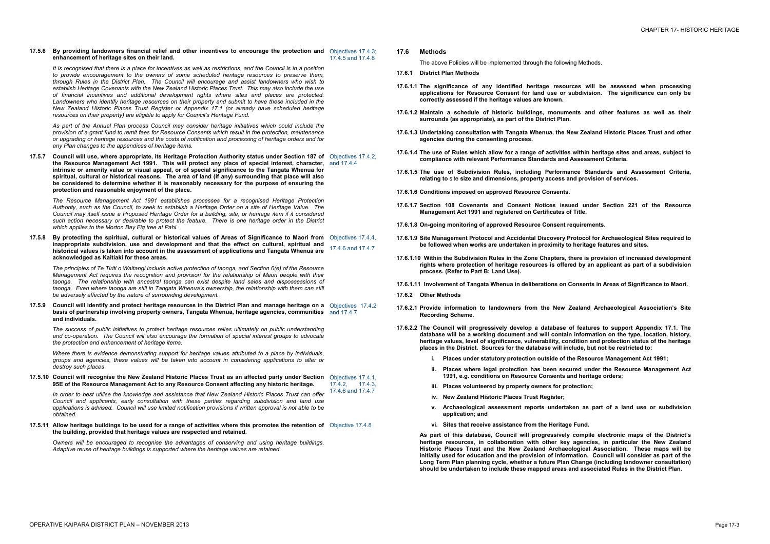## **17.5.6 By providing landowners financial relief and other incentives to encourage the protection and**  Objectives 17.4.3; **enhancement of heritage sites on their land.**  17.4.5 and 17.4.8

It is recognised that there is a place for incentives as well as restrictions, and the Council is in a position *to provide encouragement to the owners of some scheduled heritage resources to preserve them, through Rules in the District Plan. The Council will encourage and assist landowners who wish to establish Heritage Covenants with the New Zealand Historic Places Trust. This may also include the use of financial incentives and additional development rights where sites and places are protected. Landowners who identify heritage resources on their property and submit to have these included in the New Zealand Historic Places Trust Register or Appendix 17.1 (or already have scheduled heritage resources on their property) are eligible to apply for Council's Heritage Fund.* 

17.5.7 Council will use, where appropriate, its Heritage Protection Authority status under Section 187 of Objectives 17.4.2, **the Resource Management Act 1991. This will protect any place of special interest, character,**  and 17.4.4 **intrinsic or amenity value or visual appeal, or of special significance to the Tangata Whenua for spiritual, cultural or historical reasons. The area of land (if any) surrounding that place will also be considered to determine whether it is reasonably necessary for the purpose of ensuring the protection and reasonable enjoyment of the place.** 

*As part of the Annual Plan process Council may consider heritage initiatives which could include the*  provision of a grant fund to remit fees for Resource Consents which result in the protection. maintenance or upgrading or heritage resources and the costs of notification and processing of heritage orders and for *any Plan changes to the appendices of heritage items.* 

17.5.8 By protecting the spiritual, cultural or historical values of Areas of Significance to Maori from Objectives 17.4.4, **inappropriate subdivision, use and development and that the effect on cultural, spiritual and historical values is taken into account in the assessment of applications and Tangata Whenua are acknowledged as Kaitiaki for these areas.**  17.4.6 and 17.4.7

17.5.9 Council will identify and protect heritage resources in the District Plan and manage heritage on a Objectives 17.4.2 **basis of partnership involving property owners, Tangata Whenua, heritage agencies, communities**  and 17.4.7 **and individuals.** 

*The Resource Management Act 1991 establishes processes for a recognised Heritage Protection*  Authority, such as the Council, to seek to establish a Heritage Order on a site of Heritage Value. The Council may itself issue a Proposed Heritage Order for a building, site, or heritage item if it considered *such action necessary or desirable to protect the feature. There is one heritage order in the District which applies to the Morton Bay Fig tree at Pahi.* 

In order to best utilise the knowledge and assistance that New Zealand Historic Places Trust can offer *Council and applicants, early consultation with these parties regarding subdivision and land use applications is advised. Council will use limited notification provisions if written approval is not able to be obtained.* 

17.5.11 Allow heritage buildings to be used for a range of activities where this promotes the retention of Objective 17.4.8 **the building, provided that heritage values are respected and retained.** 

*The principles of Te Tiriti o Waitangi include active protection of taonga, and Section 6(e) of the Resource Management Act requires the recognition and provision for the relationship of Maori people with their taonga. The relationship with ancestral taonga can exist despite land sales and dispossessions of taonga. Even where taonga are still in Tangata Whenua's ownership, the relationship with them can still be adversely affected by the nature of surrounding development.* 

*The success of public initiatives to protect heritage resources relies ultimately on public understanding and co-operation. The Council will also encourage the formation of special interest groups to advocate the protection and enhancement of heritage items.* 

*Where there is evidence demonstrating support for heritage values attributed to a place by individuals, groups and agencies, these values will be taken into account in considering applications to alter or destroy such places* 

17.5.10 Council will recognise the New Zealand Historic Places Trust as an affected party under Section Objectives 17.4.1, **95E of the Resource Management Act to any Resource Consent affecting any historic heritage.**  17.4.2, 17.4.3,<br>17.4.6 and 17.4.7

*Owners will be encouraged to recognise the advantages of conserving and using heritage buildings. Adaptive reuse of heritage buildings is supported where the heritage values are retained.* 

**17.6 Methods** 

The above Policies will be implemented through the following Methods.

- **17.6.1 District Plan Methods**
- **17.6.1.1 The significance of any identified heritage resources will be assessed when processing applications for Resource Consent for land use or subdivision. The significance can only be correctly assessed if the heritage values are known.**
- **17.6.1.2 Maintain a schedule of historic buildings, monuments and other features as well as their surrounds (as appropriate), as part of the District Plan.**
- **17.6.1.3 Undertaking consultation with Tangata Whenua, the New Zealand Historic Places Trust and other agencies during the consenting process.**
- 17.6.1.4 The use of Rules which allow for a range of activities within heritage sites and areas, subject to **compliance with relevant Performance Standards and Assessment Criteria.**
- **17.6.1.5 The use of Subdivision Rules, including Performance Standards and Assessment Criteria, relating to** site **size and dimensions, property access and provision of services.**
- **17.6.1.6 Conditions imposed on approved Resource Consents.**
- **17.6.1.7 Section 108 Covenants and Consent Notices issued under Section 221 of the Resource Management Act 1991 and registered on Certificates of Title.**
- **17.6.1.8 On-going monitoring of approved Resource Consent requirements.**
- **17.6.1.9 Site Management Protocol and Accidental Discovery Protocol for Archaeological Sites required to be followed when works are undertaken in proximity to heritage features and sites.**
- **17.6.1.10 Within the Subdivision Rules in the Zone Chapters, there is provision of increased development rights where protection of heritage resources is offered by an applicant as part of a subdivision process. (Refer to Part B: Land Use).**
- **17.6.1.11 Involvement of Tangata Whenua in deliberations on Consents in Areas of Significance to Maori.**
- **17.6.2 Other Methods**
- **17.6.2.1 Provide information to landowners from the New Zealand Archaeological Association's Site Recording Scheme.**
- **17.6.2.2 The Council will progressively develop a database of features to support Appendix 17.1. The database will be a working document and will contain information on the type, location, history, heritage values, level of significance, vulnerability, condition and protection status of the heritage places in the District. Sources for the database will include, but not be restricted to:** 
	- **i. Places under statutory protection outside of the Resource Management Act 1991;**
	- **ii. Places where legal protection has been secured under the Resource Management Act 1991, e.g. conditions on Resource Consents and heritage orders;**
	- **iii. Places volunteered by property owners for protection;**
	- **iv. New Zealand Historic Places Trust Register;**
	- **v. Archaeological assessment reports undertaken as part of a land use or subdivision application; and**
	- **vi. Sites that receive assistance from the Heritage Fund.**

**As part of this database, Council will progressively compile electronic maps of the District's heritage resources, in collaboration with other key agencies, in particular the New Zealand Historic Places Trust and the New Zealand Archaeological Association. These maps will be initially used for education and the provision of information. Council will consider as part of the Long Term Plan planning cycle, whether a future Plan Change (including landowner consultation) should be undertaken to include these mapped areas and associated Rules in the District Plan.**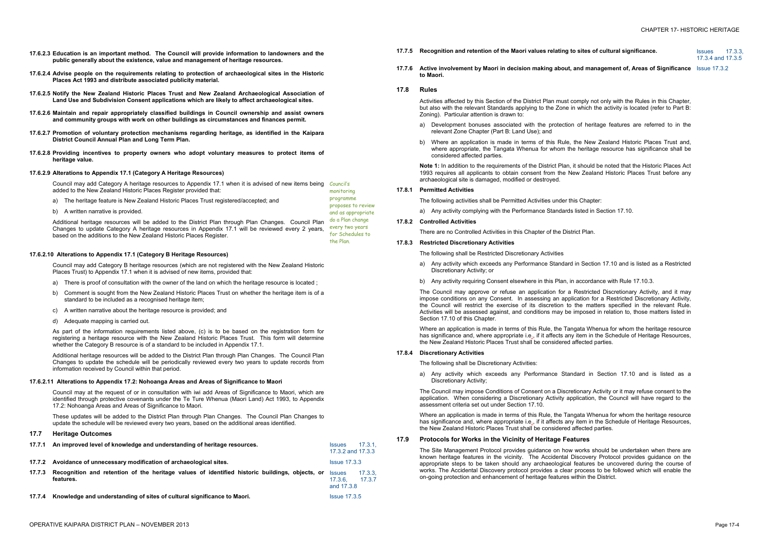- **17.6.2.3 Education is an important method. The Council will provide information to landowners and the public generally about the existence, value and management of heritage resources.**
- **17.6.2.4 Advise people on the requirements relating to protection of archaeological sites in the Historic Places Act 1993 and distribute associated publicity material.**
- **17.6.2.5 Notify the New Zealand Historic Places Trust and New Zealand Archaeological Association of Land Use and Subdivision Consent applications which are likely to affect archaeological sites.**
- **17.6.2.6 Maintain and repair appropriately classified buildings in Council ownership and assist owners and community groups with work on other buildings as circumstances and finances permit.**
- **17.6.2.7 Promotion of voluntary protection mechanisms regarding heritage, as identified in the Kaipara District Council Annual Plan and Long Term Plan.**
- **17.6.2.8 Providing incentives to property owners who adopt voluntary measures to protect items of heritage value.**

Council may add Category A heritage resources to Appendix 17.1 when it is advised of new items being Council's added to the New Zealand Historic Places Register provided that: monitoring

Council may add Category B heritage resources (which are not registered with the New Zealand Historic Places Trust) to Appendix 17.1 when it is advised of new items, provided that:

## **17.6.2.9 Alterations to Appendix 17.1 (Category A Heritage Resources)**

a) The heritage feature is New Zealand Historic Places Trust registered/accepted; and

b) A written narrative is provided.

Additional heritage resources will be added to the District Plan through Plan Changes. Council Plan Changes to update Category A heritage resources in Appendix 17.1 will be reviewed every 2 years,

based on the additions to the New Zealand Historic Places Register.

programme

proposes to review and as appropriate do a Plan change every two years for Schedules to

the Plan.

**17.6.2.10 Alterations to Appendix 17.1 (Category B Heritage Resources)** 

- a) There is proof of consultation with the owner of the land on which the heritage resource is located ;
- b) Comment is sought from the New Zealand Historic Places Trust on whether the heritage item is of a standard to be included as a recognised heritage item;
- c) A written narrative about the heritage resource is provided; and

d) Adequate mapping is carried out.

As part of the information requirements listed above, (c) is to be based on the registration form for registering a heritage resource with the New Zealand Historic Places Trust. This form will determine whether the Category B resource is of a standard to be included in Appendix 17.1.

Additional heritage resources will be added to the District Plan through Plan Changes. The Council Plan Changes to update the schedule will be periodically reviewed every two years to update records from information received by Council within that period.

## **17.6.2.11 Alterations to Appendix 17.2: Nohoanga Areas and Areas of Significance to Maori**

Council may at the request of or in consultation with iwi add Areas of Significance to Maori, which are identified through protective covenants under the Te Ture Whenua (Maori Land) Act 1993, to Appendix 17.2: Nohoanga Areas and Areas of Significance to Maori.

These updates will be added to the District Plan through Plan Changes. The Council Plan Changes to update the schedule will be reviewed every two years, based on the additional areas identified.

## **17.7 Heritage Outcomes**

|        | 17.7.1 An improved level of knowledge and understanding of heritage resources.                              | <b>Issues</b><br>17.3.2 and 17.3.3     | 17.3.1            |
|--------|-------------------------------------------------------------------------------------------------------------|----------------------------------------|-------------------|
|        | 17.7.2 Avoidance of unnecessary modification of archaeological sites.                                       | <b>Issue 17.3.3</b>                    |                   |
| 17.7.3 | Recognition and retention of the heritage values of identified historic buildings, objects, or<br>features. | <b>Issues</b><br>17.3.6.<br>and 17.3.8 | 17.3.3.<br>17.3.7 |
| 17.7.4 | Knowledge and understanding of sites of cultural significance to Maori.                                     | <b>Issue 17.3.5</b>                    |                   |

17.3.4 and 17.3.5

- **17.7.5 Recognition and retention of the Maori values relating to sites of cultural significance.** Issues 17.3.3,
- **17.7.6 Active involvement by Maori in decision making about, and management of, Areas of Significance**  Issue 17.3.2 **to Maori.**

## **17.8 Rules**

Activities affected by this Section of the District Plan must comply not only with the Rules in this Chapter, but also with the relevant Standards applying to the Zone in which the activity is located (refer to Part B: Zoning). Particular attention is drawn to:

- a) Development bonuses associated with the protection of heritage features are referred to in the relevant Zone Chapter (Part B: Land Use); and
- b) Where an application is made in terms of this Rule, the New Zealand Historic Places Trust and, where appropriate, the Tangata Whenua for whom the heritage resource has significance shall be considered affected parties.

**Note 1:** In addition to the requirements of the District Plan, it should be noted that the Historic Places Act 1993 requires all applicants to obtain consent from the New Zealand Historic Places Trust before any archaeological site is damaged, modified or destroyed.

## **17.8.1 Permitted Activities**

The following activities shall be Permitted Activities under this Chapter:

- a) Any activity complying with the Performance Standards listed in Section 17.10.
- **17.8.2 Controlled Activities**

There are no Controlled Activities in this Chapter of the District Plan.

## **17.8.3 Restricted Discretionary Activities**

The following shall be Restricted Discretionary Activities

- a) Any activity which exceeds any Performance Standard in Section 17.10 and is listed as a Restricted Discretionary Activity; or
- b) Any activity requiring Consent elsewhere in this Plan, in accordance with Rule 17.10.3.

The Council may approve or refuse an application for a Restricted Discretionary Activity, and it may impose conditions on any Consent. In assessing an application for a Restricted Discretionary Activity, the Council will restrict the exercise of its discretion to the matters specified in the relevant Rule. Activities will be assessed against, and conditions may be imposed in relation to, those matters listed in Section 17.10 of this Chapter.

Where an application is made in terms of this Rule, the Tangata Whenua for whom the heritage resource has significance and, where appropriate i.e., if it affects any item in the Schedule of Heritage Resources, the New Zealand Historic Places Trust shall be considered affected parties.

## **17.8.4 Discretionary Activities**

The following shall be Discretionary Activities:

a) Any activity which exceeds any Performance Standard in Section 17.10 and is listed as a Discretionary Activity;

The Council may impose Conditions of Consent on a Discretionary Activity or it may refuse consent to the application. When considering a Discretionary Activity application, the Council will have regard to the assessment criteria set out under Section 17.10.

Where an application is made in terms of this Rule, the Tangata Whenua for whom the heritage resource has significance and, where appropriate i.e., if it affects any item in the Schedule of Heritage Resources, the New Zealand Historic Places Trust shall be considered affected parties.

## **17.9 Protocols for Works in the Vicinity of Heritage Features**

The Site Management Protocol provides guidance on how works should be undertaken when there are known heritage features in the vicinity. The Accidental Discovery Protocol provides guidance on the appropriate steps to be taken should any archaeological features be uncovered during the course of works. The Accidental Discovery protocol provides a clear process to be followed which will enable the on-going protection and enhancement of heritage features within the District.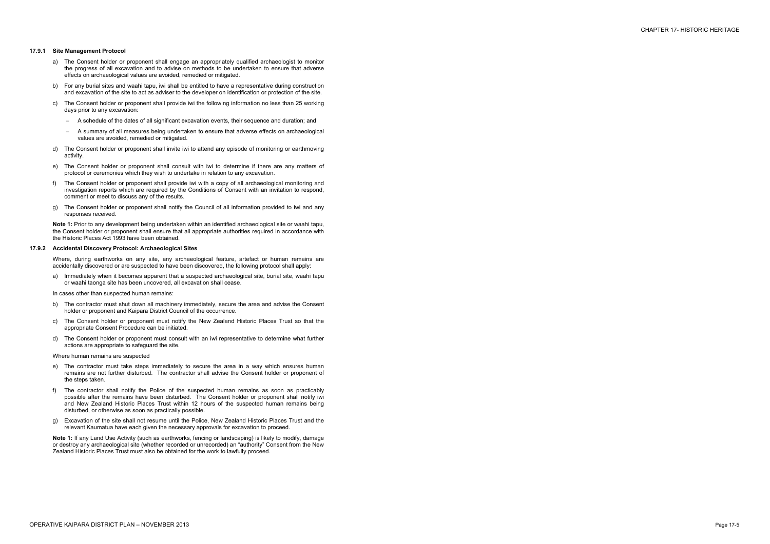## **17.9.1 Site Management Protocol**

- a) The Consent holder or proponent shall engage an appropriately qualified archaeologist to monitor the progress of all excavation and to advise on methods to be undertaken to ensure that adverse effects on archaeological values are avoided, remedied or mitigated.
- b) For any burial sites and waahi tapu, iwi shall be entitled to have a representative during construction and excavation of the site to act as adviser to the developer on identification or protection of the site.
- c) The Consent holder or proponent shall provide iwi the following information no less than 25 working days prior to any excavation:
	- A schedule of the dates of all significant excavation events, their sequence and duration; and
	- A summary of all measures being undertaken to ensure that adverse effects on archaeological values are avoided, remedied or mitigated.
- d) The Consent holder or proponent shall invite iwi to attend any episode of monitoring or earthmoving activity.
- e) The Consent holder or proponent shall consult with iwi to determine if there are any matters of protocol or ceremonies which they wish to undertake in relation to any excavation.
- f) The Consent holder or proponent shall provide iwi with a copy of all archaeological monitoring and investigation reports which are required by the Conditions of Consent with an invitation to respond, comment or meet to discuss any of the results.
- g) The Consent holder or proponent shall notify the Council of all information provided to iwi and any responses received.

**Note 1:** Prior to any development being undertaken within an identified archaeological site or waahi tapu, the Consent holder or proponent shall ensure that all appropriate authorities required in accordance with the Historic Places Act 1993 have been obtained.

## **17.9.2 Accidental Discovery Protocol: Archaeological Sites**

Where, during earthworks on any site, any archaeological feature, artefact or human remains are accidentally discovered or are suspected to have been discovered, the following protocol shall apply:

a) Immediately when it becomes apparent that a suspected archaeological site, burial site, waahi tapu or waahi taonga site has been uncovered, all excavation shall cease.

In cases other than suspected human remains:

- b) The contractor must shut down all machinery immediately, secure the area and advise the Consent holder or proponent and Kaipara District Council of the occurrence.
- c) The Consent holder or proponent must notify the New Zealand Historic Places Trust so that the appropriate Consent Procedure can be initiated.
- d) The Consent holder or proponent must consult with an iwi representative to determine what further actions are appropriate to safeguard the site.

Where human remains are suspected

- e) The contractor must take steps immediately to secure the area in a way which ensures human remains are not further disturbed. The contractor shall advise the Consent holder or proponent of the steps taken.
- f) The contractor shall notify the Police of the suspected human remains as soon as practicably possible after the remains have been disturbed. The Consent holder or proponent shall notify iwi and New Zealand Historic Places Trust within 12 hours of the suspected human remains being disturbed, or otherwise as soon as practically possible.
- g) Excavation of the site shall not resume until the Police, New Zealand Historic Places Trust and the relevant Kaumatua have each given the necessary approvals for excavation to proceed.

**Note 1:** If any Land Use Activity (such as earthworks, fencing or landscaping) is likely to modify, damage or destroy any archaeological site (whether recorded or unrecorded) an "authority" Consent from the New Zealand Historic Places Trust must also be obtained for the work to lawfully proceed.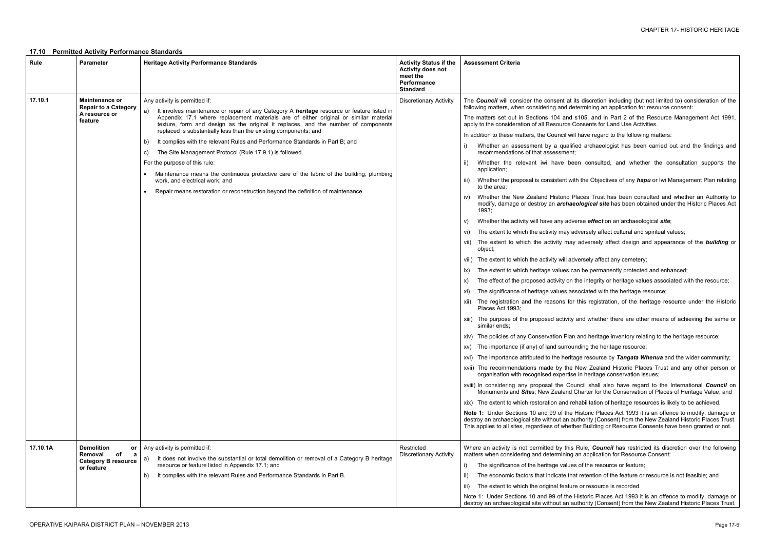- discretion including (but not limited to) consideration of the rmining an application for resource consent:
- 05, and in Part 2 of the Resource Management Act 1991, apply to the consideration of the consideration of all  $R$
- ave regard to the following matters:
- archaeologist has been carried out and the findings and
- consulted, and whether the consultation supports the
- the Objectives of any *hapu* or Iwi Management Plan relating
- ces Trust has been consulted and whether an Authority to logical site has been obtained under the Historic Places Act
- se *effect* on an archaeological *site*;
- ersely affect cultural and spiritual values;
- adversely affect design and appearance of the **building** or
- rsely affect any cemetery;
- be permanently protected and enhanced;
- integrity or heritage values associated with the resource;
- ciated with the heritage resource;
- his registration, of the heritage resource under the Historic
- nd whether there are other means of achieving the same or
- nd heritage inventory relating to the heritage resource;
- ling the heritage resource;
- resource by *Tangata Whenua* and the wider community;
- ew Zealand Historic Places Trust and any other person or beritage conservation issues;
- icil shall also have regard to the International *Council* on arter for the Conservation of Places of Heritage Value; and
- abilitation of heritage resources is likely to be achieved.
- storic Places Act 1993 it is an offence to modify, damage or hority (Consent) from the New Zealand Historic Places Trust. Building or Resource Consents have been granted or not.
- ule, **Council** has restricted its discretion over the following application for Resource Consent:
- of the resource or feature;
- retention of the feature or resource is not feasible; and
- or resource is recorded.
- storic Places Act 1993 it is an offence to modify, damage or hority (Consent) from the New Zealand Historic Places Trust.

## **17.10 Permitted Activity Performance Standards**

| Rule     | <b>Parameter</b>                                                                          | <b>Heritage Activity Performance Standards</b>                                                                                                                                                                                                                                                                                                                                                                                                                                                                                                                                                                                                                                                                                                                                                | <b>Activity Status if the</b><br><b>Activity does not</b><br>meet the<br>Performance<br><b>Standard</b> | <b>Assessment Criteria</b>                                                                                                                                                                                                                                                                                                                                                                                                                                                                                                                                                                                                                                                                                                                                                                                                                                                                                                                                                                                                                                                                                                                                                                                                                                                                                                                                                                                                                                                                                                                                                                                                         |
|----------|-------------------------------------------------------------------------------------------|-----------------------------------------------------------------------------------------------------------------------------------------------------------------------------------------------------------------------------------------------------------------------------------------------------------------------------------------------------------------------------------------------------------------------------------------------------------------------------------------------------------------------------------------------------------------------------------------------------------------------------------------------------------------------------------------------------------------------------------------------------------------------------------------------|---------------------------------------------------------------------------------------------------------|------------------------------------------------------------------------------------------------------------------------------------------------------------------------------------------------------------------------------------------------------------------------------------------------------------------------------------------------------------------------------------------------------------------------------------------------------------------------------------------------------------------------------------------------------------------------------------------------------------------------------------------------------------------------------------------------------------------------------------------------------------------------------------------------------------------------------------------------------------------------------------------------------------------------------------------------------------------------------------------------------------------------------------------------------------------------------------------------------------------------------------------------------------------------------------------------------------------------------------------------------------------------------------------------------------------------------------------------------------------------------------------------------------------------------------------------------------------------------------------------------------------------------------------------------------------------------------------------------------------------------------|
| 17.10.1  | <b>Maintenance or</b><br><b>Repair to a Category</b><br>A resource or<br>feature          | Any activity is permitted if:<br>It involves maintenance or repair of any Category A heritage resource or feature listed in<br>a)<br>Appendix 17.1 where replacement materials are of either original or similar material<br>texture, form and design as the original it replaces, and the number of components<br>replaced is substantially less than the existing components; and<br>It complies with the relevant Rules and Performance Standards in Part B; and<br>b)<br>The Site Management Protocol (Rule 17.9.1) is followed.<br>C)<br>For the purpose of this rule:<br>Maintenance means the continuous protective care of the fabric of the building, plumbing<br>work, and electrical work; and<br>Repair means restoration or reconstruction beyond the definition of maintenance. | <b>Discretionary Activity</b>                                                                           | The <b>Council</b> will consider the consent at its<br>following matters, when considering and deter<br>The matters set out in Sections 104 and s1<br>apply to the consideration of all Resource Cor<br>In addition to these matters, the Council will ha<br>Whether an assessment by a qualified<br>recommendations of that assessment;<br>Whether the relevant iwi have been<br>application;<br>Whether the proposal is consistent with t<br>iii)<br>to the area;<br>Whether the New Zealand Historic Plac<br>iv)<br>modify, damage or destroy an archaeol<br>1993;<br>Whether the activity will have any advers<br>V)<br>The extent to which the activity may adve<br>The extent to which the activity may a<br>Vİİ)<br>object;<br>viii) The extent to which the activity will adve<br>The extent to which heritage values can<br>IX)<br>The effect of the proposed activity on the<br>X)<br>The significance of heritage values asso<br>XI)<br>The registration and the reasons for th<br>XII)<br>Places Act 1993;<br>xiii) The purpose of the proposed activity an<br>similar ends:<br>xiv) The policies of any Conservation Plan are<br>xv) The importance (if any) of land surround<br>xvi) The importance attributed to the heritage<br>xvii) The recommendations made by the Ne<br>organisation with recognised expertise in<br>xviii) In considering any proposal the Cound<br>Monuments and Sites; New Zealand Ch<br>xix) The extent to which restoration and reha<br>Note 1: Under Sections 10 and 99 of the His<br>destroy an archaeological site without an auth<br>This applies to all sites, regardless of whether |
| 17.10.1A | <b>Demolition</b><br>or<br>Removal<br>of<br>a<br><b>Category B resource</b><br>or feature | Any activity is permitted if:<br>It does not involve the substantial or total demolition or removal of a Category B heritage<br>a)<br>resource or feature listed in Appendix 17.1; and<br>It complies with the relevant Rules and Performance Standards in Part B.<br>b)                                                                                                                                                                                                                                                                                                                                                                                                                                                                                                                      | Restricted<br><b>Discretionary Activity</b>                                                             | Where an activity is not permitted by this Ru<br>matters when considering and determining an<br>The significance of the heritage values o<br>$\vert$ )<br>The economic factors that indicate that r<br>The extent to which the original feature of<br>iii)<br>Note 1: Under Sections 10 and 99 of the His<br>destroy an archaeological site without an auth                                                                                                                                                                                                                                                                                                                                                                                                                                                                                                                                                                                                                                                                                                                                                                                                                                                                                                                                                                                                                                                                                                                                                                                                                                                                        |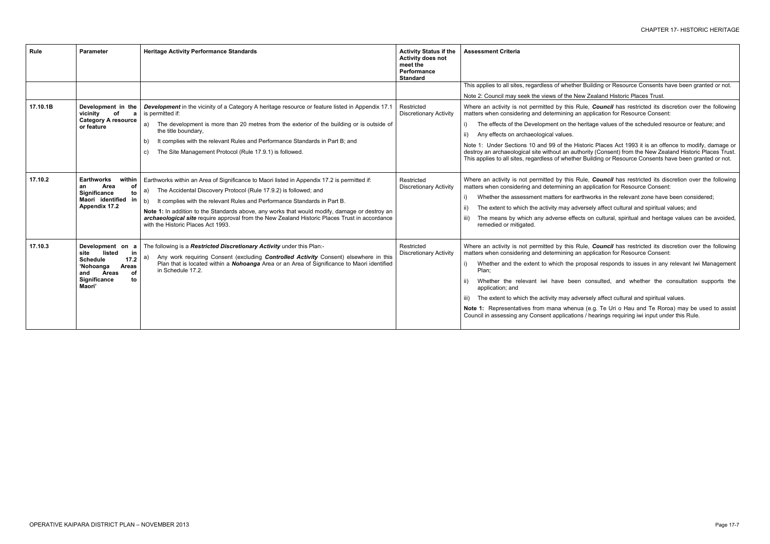r Building or Resource Consents have been granted or not.

ew Zealand Historic Places Trust.

Rule, **Council** has restricted its discretion over the following application for Resource Consent:

heritage values of the scheduled resource or feature; and

istoric Places Act 1993 it is an offence to modify, damage or hority (Consent) from the New Zealand Historic Places Trust. r Building or Resource Consents have been granted or not.

Rule, *Council* has restricted its discretion over the following application for Resource Consent:

irthworks in the relevant zone have been considered;

versely affect cultural and spiritual values; and

cts on cultural, spiritual and heritage values can be avoided,

Rule, **Council** has restricted its discretion over the following application for Resource Consent:

roposal responds to issues in any relevant Iwi Management

consulted, and whether the consultation supports the

versely affect cultural and spiritual values.

ua (e.g. Te Uri o Hau and Te Roroa) may be used to assist ns / hearings requiring iwi input under this Rule.

| Rule     | <b>Parameter</b>                                                                                                                                              | <b>Heritage Activity Performance Standards</b>                                                                                                                                                                                                                                                                                                                                                                                                                                                  | <b>Activity Status if the</b><br><b>Activity does not</b><br>meet the<br>Performance<br><b>Standard</b> | <b>Assessment Criteria</b>                                                                                                                                                                                                                                                                                                                               |
|----------|---------------------------------------------------------------------------------------------------------------------------------------------------------------|-------------------------------------------------------------------------------------------------------------------------------------------------------------------------------------------------------------------------------------------------------------------------------------------------------------------------------------------------------------------------------------------------------------------------------------------------------------------------------------------------|---------------------------------------------------------------------------------------------------------|----------------------------------------------------------------------------------------------------------------------------------------------------------------------------------------------------------------------------------------------------------------------------------------------------------------------------------------------------------|
|          |                                                                                                                                                               |                                                                                                                                                                                                                                                                                                                                                                                                                                                                                                 |                                                                                                         | This applies to all sites, regardless of whether<br>Note 2: Council may seek the views of the Ne                                                                                                                                                                                                                                                         |
| 17.10.1B | Development in the<br>of<br>vicinity<br><b>Category A resource</b><br>or feature                                                                              | <b>Development</b> in the vicinity of a Category A heritage resource or feature listed in Appendix 17.1<br>is permitted if:<br>The development is more than 20 metres from the exterior of the building or is outside of<br>a)<br>the title boundary,<br>It complies with the relevant Rules and Performance Standards in Part B; and<br>b)<br>The Site Management Protocol (Rule 17.9.1) is followed.<br>C)                                                                                    | Restricted<br><b>Discretionary Activity</b>                                                             | Where an activity is not permitted by this R<br>matters when considering and determining an<br>The effects of the Development on the h<br>i)<br>Any effects on archaeological values.<br>Note 1: Under Sections 10 and 99 of the His<br>destroy an archaeological site without an auth<br>This applies to all sites, regardless of whether               |
| 17.10.2  | <b>Earthworks</b><br>within<br>Area<br>οf<br>an<br>to<br>Significance<br>Maori identified in<br><b>Appendix 17.2</b>                                          | Earthworks within an Area of Significance to Maori listed in Appendix 17.2 is permitted if:<br>The Accidental Discovery Protocol (Rule 17.9.2) is followed; and<br>a)<br>It complies with the relevant Rules and Performance Standards in Part B.<br>b)<br>Note 1: In addition to the Standards above, any works that would modify, damage or destroy an<br>archaeological site require approval from the New Zealand Historic Places Trust in accordance<br>with the Historic Places Act 1993. | Restricted<br><b>Discretionary Activity</b>                                                             | Where an activity is not permitted by this R<br>matters when considering and determining an<br>Whether the assessment matters for ear<br>i)<br>The extent to which the activity may adv<br>The means by which any adverse effec<br>remedied or mitigated.                                                                                                |
| 17.10.3  | Development on a<br>listed<br>in<br>site<br><b>Schedule</b><br>17.2<br>'Nohoanga<br><b>Areas</b><br><b>Areas</b><br>of<br>and<br>Significance<br>to<br>Maori' | The following is a Restricted Discretionary Activity under this Plan:-<br>Any work requiring Consent (excluding <b>Controlled Activity</b> Consent) elsewhere in this<br>a)<br>Plan that is located within a Nohoanga Area or an Area of Significance to Maori identified<br>in Schedule 17.2.                                                                                                                                                                                                  | Restricted<br><b>Discretionary Activity</b>                                                             | Where an activity is not permitted by this Ru<br>matters when considering and determining an<br>Whether and the extent to which the pr<br>i)<br>Plan;<br>Whether the relevant iwi have been<br>application; and<br>The extent to which the activity may adve<br>Note 1: Representatives from mana whenua<br>Council in assessing any Consent application |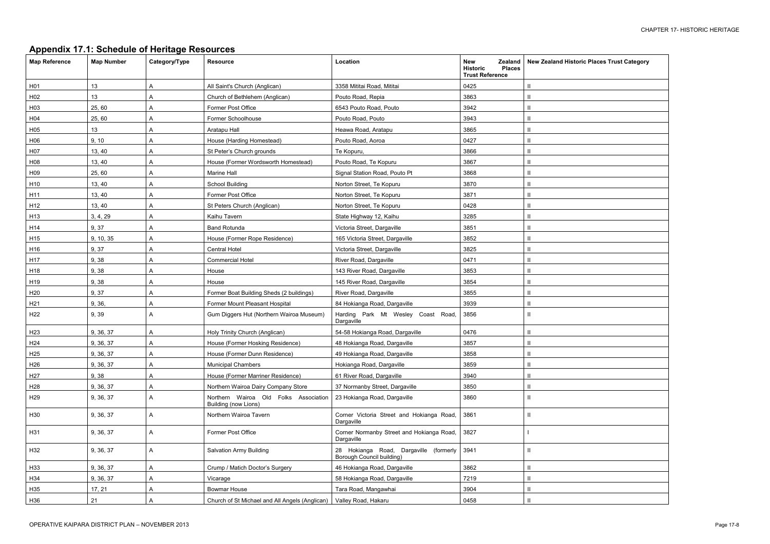| <b>Appendix 17.1: Schedule of Heritage Resources</b> |  |  |
|------------------------------------------------------|--|--|
|                                                      |  |  |

| <b>New Zealand Historic Places Trust Category</b> |
|---------------------------------------------------|
| II                                                |
| $\mathbf{I}$                                      |
| $\mathsf{I}$                                      |
| $\mathsf{I}$                                      |
| $\mathbf{I}$                                      |
| $\mathbf{I}$                                      |
| $\mathbf{I}$                                      |
| $\mathsf{I}$                                      |
| $\mathsf{I}$                                      |
| $\mathbf{I}$                                      |
| $\mathbf{I}$                                      |
| $\mathbf{I}$                                      |
| $\mathbf{u}$                                      |
| $\mathbf{I}$                                      |
| $\mathbf{I}$                                      |
| $\mathbf{I}$                                      |
| $\mathbf{I}$                                      |
| $\mathbf{I}$                                      |
| $\mathbf{I}$                                      |
| $\mathbf{I}$                                      |
| $\mathbf{I}$                                      |
| II                                                |
| $\mathbf{I}$                                      |
| $\mathbb{I}$                                      |
| $\mathbf{I}$                                      |
| $\mathbb{I}$                                      |
| $\mathbf{I}$                                      |
| $\mathbf{I}$                                      |
| $\mathsf{II}$                                     |
| $\mathbf{I}$                                      |
| I                                                 |
| $\mathsf{I}$                                      |
|                                                   |
| $\mathbf{I}$                                      |
| $\mathbf{I}$                                      |
| $\mathbf{I}$                                      |
| $\mathbf{I}$                                      |

| <b>Map Reference</b> | <b>Map Number</b> | Category/Type | <b>Resource</b>                                               | Location                                                            | <b>New</b><br><b>Zealand</b><br><b>Historic</b><br><b>Places</b><br><b>Trust Reference</b> | <b>New Zealand Histor</b>  |
|----------------------|-------------------|---------------|---------------------------------------------------------------|---------------------------------------------------------------------|--------------------------------------------------------------------------------------------|----------------------------|
| H01                  | 13                | A             | All Saint's Church (Anglican)                                 | 3358 Mititai Road, Mititai                                          | 0425                                                                                       | Ш                          |
| H <sub>02</sub>      | 13                | A             | Church of Bethlehem (Anglican)                                | Pouto Road, Repia                                                   | 3863                                                                                       | $\mathsf{I}$               |
| H03                  | 25,60             | Α             | Former Post Office                                            | 6543 Pouto Road, Pouto                                              | 3942                                                                                       | Ш                          |
| H04                  | 25,60             | A             | Former Schoolhouse                                            | Pouto Road, Pouto                                                   | 3943                                                                                       | Ш                          |
| H05                  | 13                | A             | Aratapu Hall                                                  | Heawa Road, Aratapu                                                 | 3865                                                                                       | Ш                          |
| H06                  | 9, 10             | Α             | House (Harding Homestead)                                     | Pouto Road, Aoroa                                                   | 0427                                                                                       | Ш                          |
| H07                  | 13, 40            | A             | St Peter's Church grounds                                     | Te Kopuru,                                                          | 3866                                                                                       | $\mathsf{I}$               |
| H08                  | 13, 40            | A             | House (Former Wordsworth Homestead)                           | Pouto Road, Te Kopuru                                               | 3867                                                                                       | Ш                          |
| H <sub>09</sub>      | 25,60             | A             | Marine Hall                                                   | Signal Station Road, Pouto Pt                                       | 3868                                                                                       | Ш                          |
| H <sub>10</sub>      | 13, 40            | Α             | School Building                                               | Norton Street, Te Kopuru                                            | 3870                                                                                       | Ш                          |
| H11                  | 13, 40            | A             | Former Post Office                                            | Norton Street, Te Kopuru                                            | 3871                                                                                       | Ш                          |
| H <sub>12</sub>      | 13, 40            | A             | St Peters Church (Anglican)                                   | Norton Street, Te Kopuru                                            | 0428                                                                                       | $\mathsf{I}$               |
| H <sub>13</sub>      | 3, 4, 29          | A             | Kaihu Tavern                                                  | State Highway 12, Kaihu                                             | 3285                                                                                       | Ш                          |
| H14                  | 9,37              | A             | <b>Band Rotunda</b>                                           | Victoria Street, Dargaville                                         | 3851                                                                                       | Ш                          |
| H <sub>15</sub>      | 9, 10, 35         | Α             | House (Former Rope Residence)                                 | 165 Victoria Street, Dargaville                                     | 3852                                                                                       | Ш                          |
| H16                  | 9,37              | A             | <b>Central Hotel</b>                                          | Victoria Street, Dargaville                                         | 3825                                                                                       | $\mathsf{I}$               |
| H17                  | 9,38              | A             | <b>Commercial Hotel</b>                                       | River Road, Dargaville                                              | 0471                                                                                       | Ш                          |
| H18                  | 9,38              | А             | House                                                         | 143 River Road, Dargaville                                          | 3853                                                                                       | Ш                          |
| H19                  | 9,38              | A             | House                                                         | 145 River Road, Dargaville                                          | 3854                                                                                       | Ш                          |
| H <sub>20</sub>      | 9,37              | A             | Former Boat Building Sheds (2 buildings)                      | River Road, Dargaville                                              | 3855                                                                                       | $\mathbf{H}$               |
| H <sub>21</sub>      | 9, 36,            | A             | Former Mount Pleasant Hospital                                | 84 Hokianga Road, Dargaville                                        | 3939                                                                                       | Ш                          |
| H <sub>22</sub>      | 9,39              | A             | Gum Diggers Hut (Northern Wairoa Museum)                      | Harding Park Mt Wesley Coast Road,<br>Dargaville                    | 3856                                                                                       | Ш                          |
| H <sub>23</sub>      | 9, 36, 37         | A             | Holy Trinity Church (Anglican)                                | 54-58 Hokianga Road, Dargaville                                     | 0476                                                                                       | Ш                          |
| H <sub>24</sub>      | 9, 36, 37         | A             | House (Former Hosking Residence)                              | 48 Hokianga Road, Dargaville                                        | 3857                                                                                       | Ш                          |
| H <sub>25</sub>      | 9, 36, 37         | Α             | House (Former Dunn Residence)                                 | 49 Hokianga Road, Dargaville                                        | 3858                                                                                       | $\mathbf{H}$               |
| H <sub>26</sub>      | 9, 36, 37         | A             | <b>Municipal Chambers</b>                                     | Hokianga Road, Dargaville                                           | 3859                                                                                       | $\mathsf{I}$               |
| H <sub>27</sub>      | 9,38              | Α             | House (Former Marriner Residence)                             | 61 River Road, Dargaville                                           | 3940                                                                                       | Ш                          |
| H <sub>28</sub>      | 9, 36, 37         | A             | Northern Wairoa Dairy Company Store                           | 37 Normanby Street, Dargaville                                      | 3850                                                                                       | Ш                          |
| H <sub>29</sub>      | 9, 36, 37         | A             | Northern Wairoa Old Folks Association<br>Building (now Lions) | 23 Hokianga Road, Dargaville                                        | 3860                                                                                       | Ш                          |
| H30                  | 9, 36, 37         | A             | Northern Wairoa Tavern                                        | Corner Victoria Street and Hokianga Road,<br>Dargaville             | 3861                                                                                       | $\ensuremath{\mathsf{II}}$ |
| H31                  | 9, 36, 37         | Α             | Former Post Office                                            | Corner Normanby Street and Hokianga Road,<br>Dargaville             | 3827                                                                                       |                            |
| H32                  | 9, 36, 37         | A             | <b>Salvation Army Building</b>                                | 28 Hokianga Road, Dargaville (formerly<br>Borough Council building) | 3941                                                                                       | $\sf II$                   |
| H33                  | 9, 36, 37         | A             | Crump / Matich Doctor's Surgery                               | 46 Hokianga Road, Dargaville                                        | 3862                                                                                       | Ш                          |
| H34                  | 9, 36, 37         | A             | Vicarage                                                      | 58 Hokianga Road, Dargaville                                        | 7219                                                                                       | Ш                          |
| H35                  | 17, 21            | A             | Bowmar House                                                  | Tara Road, Mangawhai                                                | 3904                                                                                       | Ш                          |
| H36                  | 21                | A             | Church of St Michael and All Angels (Anglican)                | Valley Road, Hakaru                                                 | 0458                                                                                       | $\mathsf{I}\mathsf{I}$     |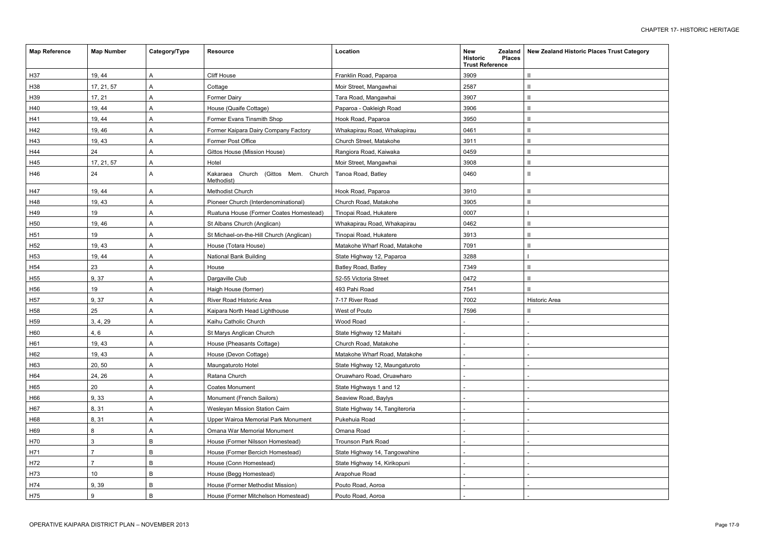| <b>New Zealand Historic Places Trust Category</b> |  |  |  |  |  |  |
|---------------------------------------------------|--|--|--|--|--|--|
| $\mathbf{I}$                                      |  |  |  |  |  |  |
| $\mathbf{I}$                                      |  |  |  |  |  |  |
| $\mathbf{I}$                                      |  |  |  |  |  |  |
| $\mathsf{II}$                                     |  |  |  |  |  |  |
| $\mathbf{I}$                                      |  |  |  |  |  |  |
| $\mathsf{II}$                                     |  |  |  |  |  |  |
| $\mathsf{II}$                                     |  |  |  |  |  |  |
| $\mathsf{I}$                                      |  |  |  |  |  |  |
| $\mathbf{u}$                                      |  |  |  |  |  |  |
| $\mathsf{II}$                                     |  |  |  |  |  |  |
|                                                   |  |  |  |  |  |  |
| $\mathbf{I}$                                      |  |  |  |  |  |  |
| $\mathbf{I}$                                      |  |  |  |  |  |  |
| $\overline{\phantom{a}}$                          |  |  |  |  |  |  |
| $\mathbf{I}$                                      |  |  |  |  |  |  |
| $\mathbf{I}$                                      |  |  |  |  |  |  |
| $\mathbf{I}$                                      |  |  |  |  |  |  |
| $\overline{\phantom{a}}$                          |  |  |  |  |  |  |
| $\mathsf{II}$                                     |  |  |  |  |  |  |
| $\mathsf{II}$                                     |  |  |  |  |  |  |
| $\mathbf{I}$                                      |  |  |  |  |  |  |
| <b>Historic Area</b>                              |  |  |  |  |  |  |
| $\mathbf{I}$                                      |  |  |  |  |  |  |
| $\overline{a}$                                    |  |  |  |  |  |  |
| $\overline{a}$                                    |  |  |  |  |  |  |
|                                                   |  |  |  |  |  |  |
|                                                   |  |  |  |  |  |  |
|                                                   |  |  |  |  |  |  |
|                                                   |  |  |  |  |  |  |
|                                                   |  |  |  |  |  |  |
|                                                   |  |  |  |  |  |  |
| -                                                 |  |  |  |  |  |  |
|                                                   |  |  |  |  |  |  |
|                                                   |  |  |  |  |  |  |
|                                                   |  |  |  |  |  |  |
|                                                   |  |  |  |  |  |  |
|                                                   |  |  |  |  |  |  |
|                                                   |  |  |  |  |  |  |
|                                                   |  |  |  |  |  |  |
|                                                   |  |  |  |  |  |  |

| <b>Map Reference</b> | <b>Map Number</b> | Category/Type | <b>Resource</b>                                      | Location                       | <b>New</b><br><b>Zealand</b><br><b>Historic</b><br><b>Places</b><br><b>Trust Reference</b> | <b>New Zealand Histo</b> |
|----------------------|-------------------|---------------|------------------------------------------------------|--------------------------------|--------------------------------------------------------------------------------------------|--------------------------|
| H37                  | 19, 44            | A             | Cliff House                                          | Franklin Road, Paparoa         | 3909                                                                                       |                          |
| H38                  | 17, 21, 57        | A             | Cottage                                              | Moir Street, Mangawhai         | 2587                                                                                       |                          |
| H39                  | 17, 21            | A             | <b>Former Dairy</b>                                  | Tara Road, Mangawhai           | 3907                                                                                       |                          |
| H40                  | 19, 44            | Α             | House (Quaife Cottage)                               | Paparoa - Oakleigh Road        | 3906                                                                                       |                          |
| H41                  | 19, 44            | A             | Former Evans Tinsmith Shop                           | Hook Road, Paparoa             | 3950                                                                                       |                          |
| H42                  | 19, 46            | Α             | Former Kaipara Dairy Company Factory                 | Whakapirau Road, Whakapirau    | 0461                                                                                       |                          |
| H43                  | 19, 43            | A             | Former Post Office                                   | Church Street, Matakohe        | 3911                                                                                       |                          |
| H44                  | 24                | Α             | Gittos House (Mission House)                         | Rangiora Road, Kaiwaka         | 0459                                                                                       |                          |
| H45                  | 17, 21, 57        | Α             | Hotel                                                | Moir Street, Mangawhai         | 3908                                                                                       |                          |
| H46                  | 24                | A             | Church (Gittos Mem. Church<br>Kakaraea<br>Methodist) | Tanoa Road, Batley             | 0460                                                                                       |                          |
| H47                  | 19, 44            | A             | Methodist Church                                     | Hook Road, Paparoa             | 3910                                                                                       |                          |
| H48                  | 19, 43            | Α             | Pioneer Church (Interdenominational)                 | Church Road, Matakohe          | 3905                                                                                       |                          |
| H49                  | 19                | A             | Ruatuna House (Former Coates Homestead)              | Tinopai Road, Hukatere         | 0007                                                                                       |                          |
| H <sub>50</sub>      | 19, 46            | A             | St Albans Church (Anglican)                          | Whakapirau Road, Whakapirau    | 0462                                                                                       |                          |
| H <sub>51</sub>      | 19                | A             | St Michael-on-the-Hill Church (Anglican)             | Tinopai Road, Hukatere         | 3913                                                                                       |                          |
| H <sub>52</sub>      | 19, 43            | A             | House (Totara House)                                 | Matakohe Wharf Road, Matakohe  | 7091                                                                                       |                          |
| H <sub>53</sub>      | 19, 44            | Α             | <b>National Bank Building</b>                        | State Highway 12, Paparoa      | 3288                                                                                       |                          |
| H <sub>54</sub>      | 23                | Α             | House                                                | Batley Road, Batley            | 7349                                                                                       |                          |
| H <sub>55</sub>      | 9,37              | Α             | Dargaville Club                                      | 52-55 Victoria Street          | 0472                                                                                       |                          |
| H56                  | 19                | A             | Haigh House (former)                                 | 493 Pahi Road                  | 7541                                                                                       |                          |
| H <sub>57</sub>      | 9,37              | A             | River Road Historic Area                             | 7-17 River Road                | 7002                                                                                       | Historic Area            |
| H <sub>58</sub>      | 25                | A             | Kaipara North Head Lighthouse                        | West of Pouto                  | 7596                                                                                       |                          |
| H <sub>59</sub>      | 3, 4, 29          | A             | Kaihu Catholic Church                                | Wood Road                      |                                                                                            |                          |
| H60                  | 4, 6              | Α             | St Marys Anglican Church                             | State Highway 12 Maitahi       |                                                                                            |                          |
| H61                  | 19, 43            | A             | House (Pheasants Cottage)                            | Church Road, Matakohe          |                                                                                            |                          |
| H62                  | 19, 43            | A             | House (Devon Cottage)                                | Matakohe Wharf Road, Matakohe  |                                                                                            |                          |
| H63                  | 20, 50            | A             | Maungaturoto Hotel                                   | State Highway 12, Maungaturoto |                                                                                            |                          |
| H64                  | 24, 26            | A             | Ratana Church                                        | Oruawharo Road, Oruawharo      |                                                                                            |                          |
| H65                  | 20                | A             | <b>Coates Monument</b>                               | State Highways 1 and 12        |                                                                                            |                          |
| H66                  | 9, 33             | A             | Monument (French Sailors)                            | Seaview Road, Baylys           |                                                                                            |                          |
| H67                  | 8,31              | A             | Wesleyan Mission Station Cairn                       | State Highway 14, Tangiteroria |                                                                                            |                          |
| H68                  | 8, 31             | A             | Upper Wairoa Memorial Park Monument                  | Pukehuia Road                  |                                                                                            |                          |
| H69                  | 8                 | Α             | Omana War Memorial Monument                          | Omana Road                     |                                                                                            |                          |
| H70                  | 3                 | В             | House (Former Nilsson Homestead)                     | Trounson Park Road             |                                                                                            |                          |
| H71                  |                   | B             | House (Former Bercich Homestead)                     | State Highway 14, Tangowahine  |                                                                                            |                          |
| H72                  | 7                 | B             | House (Conn Homestead)                               | State Highway 14, Kirikopuni   |                                                                                            |                          |
| H73                  | 10                | B             | House (Begg Homestead)                               | Arapohue Road                  |                                                                                            |                          |
| H74                  | 9, 39             | В             | House (Former Methodist Mission)                     | Pouto Road, Aoroa              |                                                                                            |                          |
| H75                  | 9                 | B             | House (Former Mitchelson Homestead)                  | Pouto Road, Aoroa              |                                                                                            |                          |
|                      |                   |               |                                                      |                                |                                                                                            |                          |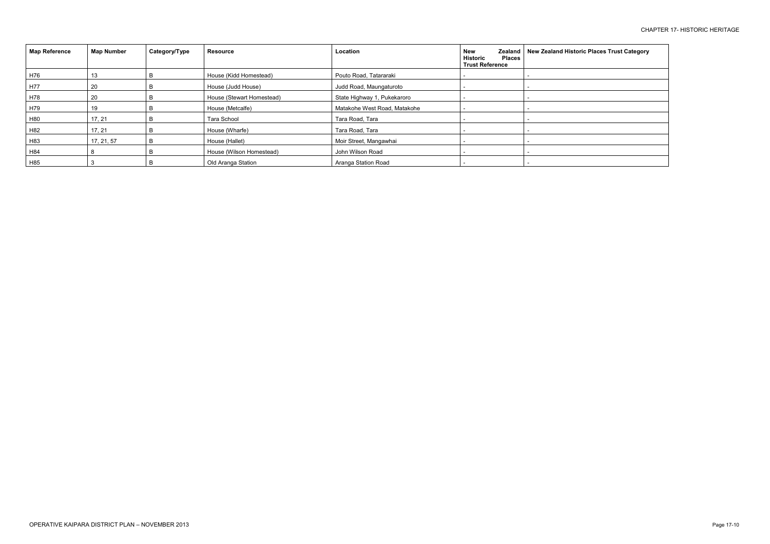| <b>Map Reference</b> | <b>Map Number</b> | Category/Type | <b>Resource</b>           | Location                     | New<br><b>Historic</b><br><b>Places</b><br><b>Trust Reference</b> | Zealand   New Zealand Historic Places Trust Category |
|----------------------|-------------------|---------------|---------------------------|------------------------------|-------------------------------------------------------------------|------------------------------------------------------|
| H76                  | 13                |               | House (Kidd Homestead)    | Pouto Road, Tatararaki       |                                                                   |                                                      |
| H77                  | 20                |               | House (Judd House)        | Judd Road, Maungaturoto      |                                                                   |                                                      |
| H78                  | 20                |               | House (Stewart Homestead) | State Highway 1, Pukekaroro  |                                                                   |                                                      |
| H79                  | 19                |               | House (Metcalfe)          | Matakohe West Road, Matakohe |                                                                   |                                                      |
| H80                  | 17, 21            |               | <b>Tara School</b>        | Tara Road, Tara              |                                                                   |                                                      |
| H82                  | 17, 21            |               | House (Wharfe)            | Tara Road, Tara              |                                                                   |                                                      |
| H83                  | 17, 21, 57        | B             | House (Hallet)            | Moir Street, Mangawhai       |                                                                   |                                                      |
| H84                  |                   |               | House (Wilson Homestead)  | John Wilson Road             |                                                                   |                                                      |
| H85                  |                   |               | Old Aranga Station        | Aranga Station Road          |                                                                   |                                                      |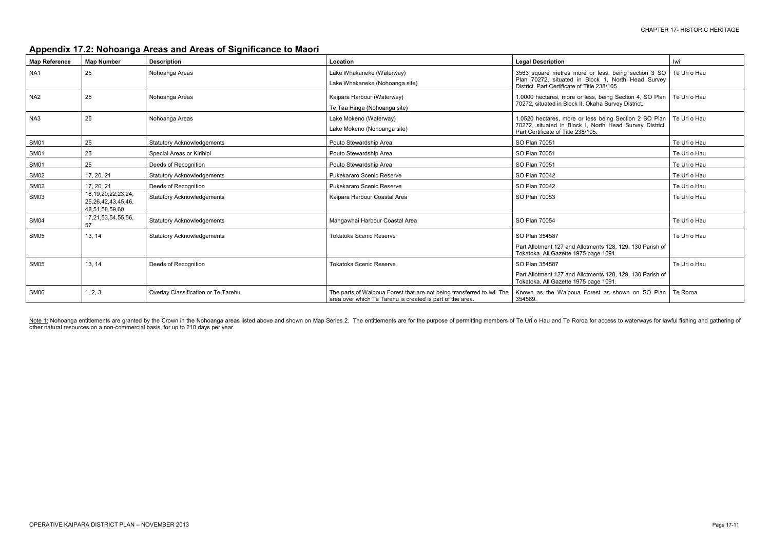# **Appendix 17.2: Nohoanga Areas and Areas of Significance to Maori**

| <b>Map Reference</b> | <b>Map Number</b>                                               | <b>Description</b>                  | Location                                                                                                                            | <b>Legal Description</b>                                                                                                                                  | lwi          |
|----------------------|-----------------------------------------------------------------|-------------------------------------|-------------------------------------------------------------------------------------------------------------------------------------|-----------------------------------------------------------------------------------------------------------------------------------------------------------|--------------|
| NA1                  | 25                                                              | Nohoanga Areas                      | Lake Whakaneke (Waterway)<br>Lake Whakaneke (Nohoanga site)                                                                         | 3563 square metres more or less, being section 3 SO<br>Plan 70272, situated in Block 1, North Head Survey<br>District. Part Certificate of Title 238/105. | Te Uri o Hau |
| NA <sub>2</sub>      | 25                                                              | Nohoanga Areas                      | Kaipara Harbour (Waterway)<br>Te Taa Hinga (Nohoanga site)                                                                          | 1.0000 hectares, more or less, being Section 4, SO Plan<br>70272, situated in Block II, Okaha Survey District.                                            | Te Uri o Hau |
| NA3                  | 25                                                              | Nohoanga Areas                      | Lake Mokeno (Waterway)<br>Lake Mokeno (Nohoanga site)                                                                               | 1.0520 hectares, more or less being Section 2 SO Plan<br>70272, situated in Block I, North Head Survey District.<br>Part Certificate of Title 238/105.    | Te Uri o Hau |
| SM01                 | 25                                                              | <b>Statutory Acknowledgements</b>   | Pouto Stewardship Area                                                                                                              | SO Plan 70051                                                                                                                                             | Te Uri o Hau |
| SM01                 | 25                                                              | Special Areas or Kirihipi           | Pouto Stewardship Area                                                                                                              | SO Plan 70051                                                                                                                                             | Te Uri o Hau |
| SM01                 | 25                                                              | Deeds of Recognition                | Pouto Stewardship Area                                                                                                              | SO Plan 70051                                                                                                                                             | Te Uri o Hau |
| SM02                 | 17, 20, 21                                                      | <b>Statutory Acknowledgements</b>   | Pukekararo Scenic Reserve                                                                                                           | SO Plan 70042                                                                                                                                             | Te Uri o Hau |
| SM02                 | 17, 20, 21                                                      | Deeds of Recognition                | Pukekararo Scenic Reserve                                                                                                           | SO Plan 70042                                                                                                                                             | Te Uri o Hau |
| SM03                 | 18, 19, 20, 22, 23, 24,<br>25,26,42,43,45,46,<br>48,51,58,59,60 | <b>Statutory Acknowledgements</b>   | Kaipara Harbour Coastal Area                                                                                                        | SO Plan 70053                                                                                                                                             | Te Uri o Hau |
| SM04                 | 17,21,53,54,55,56,<br>57                                        | <b>Statutory Acknowledgements</b>   | Mangawhai Harbour Coastal Area                                                                                                      | SO Plan 70054                                                                                                                                             | Te Uri o Hau |
| SM05                 | 13, 14                                                          | <b>Statutory Acknowledgements</b>   | <b>Tokatoka Scenic Reserve</b>                                                                                                      | SO Plan 354587                                                                                                                                            | Te Uri o Hau |
|                      |                                                                 |                                     |                                                                                                                                     | Part Allotment 127 and Allotments 128, 129, 130 Parish of<br>Tokatoka. All Gazette 1975 page 1091.                                                        |              |
| SM05                 | 13, 14                                                          | Deeds of Recognition                | <b>Tokatoka Scenic Reserve</b>                                                                                                      | SO Plan 354587                                                                                                                                            | Te Uri o Hau |
|                      |                                                                 |                                     |                                                                                                                                     | Part Allotment 127 and Allotments 128, 129, 130 Parish of<br>Tokatoka. All Gazette 1975 page 1091.                                                        |              |
| SM06                 | 1, 2, 3                                                         | Overlay Classification or Te Tarehu | The parts of Waipoua Forest that are not being transferred to iwi. The<br>area over which Te Tarehu is created is part of the area. | Known as the Waipoua Forest as shown on SO Plan<br>354589.                                                                                                | Te Roroa     |

Note 1: Nohoanga entitlements are granted by the Crown in the Nohoanga areas listed above and shown on Map Series 2. The entitlements are for the purpose of permitting members of Te Uri o Hau and Te Roroa for access to wat other natural resources on a non-commercial basis, for up to 210 days per year.